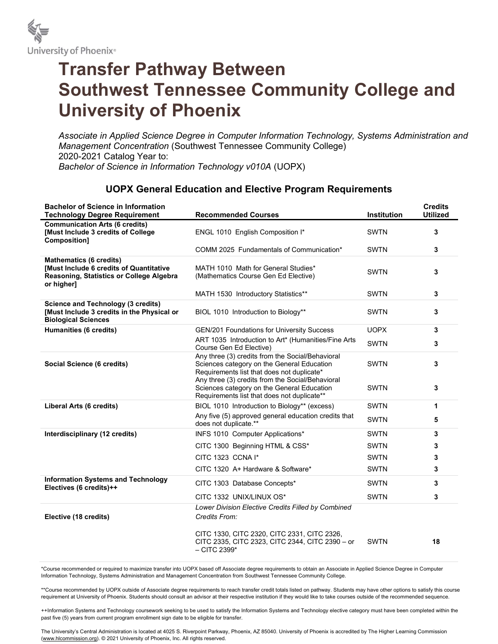

## Transfer Pathway Between Southwest Tennessee Community College and University of Phoenix

Associate in Applied Science Degree in Computer Information Technology, Systems Administration and Management Concentration (Southwest Tennessee Community College) 2020-2021 Catalog Year to: Bachelor of Science in Information Technology v010A (UOPX)

## UOPX General Education and Elective Program Requirements

| <b>Bachelor of Science in Information</b><br><b>Technology Degree Requirement</b>                                                   | <b>Recommended Courses</b>                                                                                                                    | <b>Institution</b> | <b>Credits</b><br><b>Utilized</b> |
|-------------------------------------------------------------------------------------------------------------------------------------|-----------------------------------------------------------------------------------------------------------------------------------------------|--------------------|-----------------------------------|
| <b>Communication Arts (6 credits)</b><br>[Must Include 3 credits of College<br>Composition]                                         | ENGL 1010 English Composition I*                                                                                                              | <b>SWTN</b>        | 3                                 |
|                                                                                                                                     | COMM 2025 Fundamentals of Communication*                                                                                                      | <b>SWTN</b>        | 3                                 |
| <b>Mathematics (6 credits)</b><br>[Must Include 6 credits of Quantitative<br>Reasoning, Statistics or College Algebra<br>or higher] | MATH 1010 Math for General Studies*<br>(Mathematics Course Gen Ed Elective)                                                                   | <b>SWTN</b>        | 3                                 |
|                                                                                                                                     | MATH 1530 Introductory Statistics**                                                                                                           | <b>SWTN</b>        | 3                                 |
| <b>Science and Technology (3 credits)</b><br>[Must Include 3 credits in the Physical or<br><b>Biological Sciences</b>               | BIOL 1010 Introduction to Biology**                                                                                                           | <b>SWTN</b>        | 3                                 |
| Humanities (6 credits)                                                                                                              | <b>GEN/201 Foundations for University Success</b>                                                                                             | <b>UOPX</b>        | 3                                 |
|                                                                                                                                     | ART 1035 Introduction to Art* (Humanities/Fine Arts<br>Course Gen Ed Elective)                                                                | <b>SWTN</b>        | 3                                 |
| Social Science (6 credits)                                                                                                          | Any three (3) credits from the Social/Behavioral<br>Sciences category on the General Education<br>Requirements list that does not duplicate*  | <b>SWTN</b>        | 3                                 |
|                                                                                                                                     | Any three (3) credits from the Social/Behavioral<br>Sciences category on the General Education<br>Requirements list that does not duplicate** | <b>SWTN</b>        | 3                                 |
| Liberal Arts (6 credits)                                                                                                            | BIOL 1010 Introduction to Biology** (excess)                                                                                                  | <b>SWTN</b>        | 1                                 |
|                                                                                                                                     | Any five (5) approved general education credits that<br>does not duplicate.**                                                                 | <b>SWTN</b>        | 5                                 |
| Interdisciplinary (12 credits)                                                                                                      | INFS 1010 Computer Applications*                                                                                                              | <b>SWTN</b>        | 3                                 |
|                                                                                                                                     | CITC 1300 Beginning HTML & CSS*                                                                                                               | <b>SWTN</b>        | 3                                 |
|                                                                                                                                     | CITC 1323 CCNA I*                                                                                                                             | <b>SWTN</b>        | 3                                 |
|                                                                                                                                     | CITC 1320 A+ Hardware & Software*                                                                                                             | <b>SWTN</b>        | 3                                 |
| <b>Information Systems and Technology</b><br>Electives (6 credits)++                                                                | CITC 1303 Database Concepts*                                                                                                                  | <b>SWTN</b>        | 3                                 |
|                                                                                                                                     | CITC 1332 UNIX/LINUX OS*                                                                                                                      | <b>SWTN</b>        | 3                                 |
| Elective (18 credits)                                                                                                               | Lower Division Elective Credits Filled by Combined<br>Credits From:                                                                           |                    |                                   |
|                                                                                                                                     | CITC 1330, CITC 2320, CITC 2331, CITC 2326,<br>CITC 2335, CITC 2323, CITC 2344, CITC 2390 - or<br>$-$ CITC 2399 $*$                           | <b>SWTN</b>        | 18                                |

\*Course recommended or required to maximize transfer into UOPX based off Associate degree requirements to obtain an Associate in Applied Science Degree in Computer Information Technology, Systems Administration and Management Concentration from Southwest Tennessee Community College.

\*\*Course recommended by UOPX outside of Associate degree requirements to reach transfer credit totals listed on pathway. Students may have other options to satisfy this course requirement at University of Phoenix. Students should consult an advisor at their respective institution if they would like to take courses outside of the recommended sequence.

++Information Systems and Technology coursework seeking to be used to satisfy the Information Systems and Technology elective category must have been completed within the past five (5) years from current program enrollment sign date to be eligible for transfer.

The University's Central Administration is located at 4025 S. Riverpoint Parkway, Phoenix, AZ 85040. University of Phoenix is accredited by The Higher Learning Commission (www.hlcommission.org). © 2021 University of Phoenix, Inc. All rights reserved.